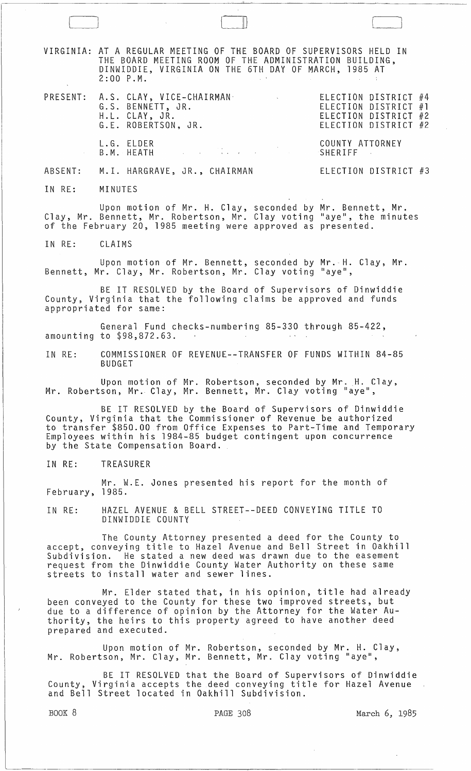VIRGINIA: AT A REGULAR MEETING OF THE BOARD OF SUPERVISORS HELD IN THE BOARD MEETING ROOM OF THE ADMINISTRATION BUILDING, DINWIDDIE, VIRGINIA ON THE 6TH DAY OF MARCH, 1985 AT 2:00 P.M.

PRESENT: A.S. CLAY, VICE-CHAIRMAN<sub>-</sub> ELECTION DISTRICT G.S. BENNETT, JR. ELECTION DISTRICT H. L. CLAY, JR. ELECTION DISTRICT #2 H.L. CLAY, JR.<br>G.E. ROBERTSON, JR. ELECTION DISTRICT #4 ELECTION DISTRICT #1 ELECTION DISTRICT #2

L.G. ELDER<br>B.M. HEATH COUNTY ATTORNEY B.M. HEATH ABSENT: M.I. HARGRAVE, JR., CHAIRMAN ELECTION DISTRICT #3

IN RE: MINUTES

Upon motion of Mr. H. Clay, seconded by Mr. Bennett, Mr. Clay, Mr. Bennett, Mr. Robertson, Mr. Clay voting "aye", the minutes of the February 20, 1985 meeting were approved as presented.

IN RE: CLAIMS

Upon motion of Mr. Bennett, seconded by Mr. H. Clay, Mr.  $\,$ Bennett, Mr. Clay, Mr. Robertson, Mr. Clay voting "aye",

BE IT RESOLVED by the Board of Supervisors of Dinwiddie County, Virginia that the following claims be approved and funds appropriated for same:

General Fund checks-numbering 85-330 through 85-422, amounting to \$98,872.63.

IN RE: COMMISSIONER OF REVENUE--TRANSfER OF FUNDS WITHIN 84-85 BUDGET

Upon motion of Mr. Robertson, seconded by Mr. H. Clay, Mr. Robertson, Mr. Clay, Mr. Bennett, Mr. Clay voting "aye",

BE IT RESOLVED by the Board of Supervisors of Dinwiddie County, Virginia that the Commissioner of Revenue be authorized to transfer \$850.00 from Office Expenses to Part-Time and Temporary Employees within his 1984-85 budget contingent upon concurrence by the State Compensation Board.

IN RE: TREASURER

Mr. W.E. Jones presented his report for the month of February, 1985.

IN RE: HAZEL AVENUE & BELL STREET--DEED CONVEYING TITLE TO DINWIDDIE COUNTY

The County Attorney presented a deed for the County to accept, conveying title to Hazel Avenue and Bell Street in Oakhill Subdivision. He stated a new deed was drawn due to the easement request from the Dinwiddie County Water Authority on these same streets to install water and sewer lines.

Mr. Elder stated that, in his opinion, title had already been conveyed to the County for these two improved streets, but due to a difference of opinion by the Attorney for the Water Authority, the heirs to this property agreed to have another deed prepared and executed.

Upon motion of Mr. Robertson, seconded by Mr. H. Clay, Mr. Robertson, Mr. Clay, Mr. Bennett, Mr. Clay voting "aye",

BE IT RESOLVED that the Board of Supervisors of Dinwiddie County, Virginia accepts the deed conveying title for Hazel Avenue and Bell Street located in Oakhill Subdivision.

 $\Box$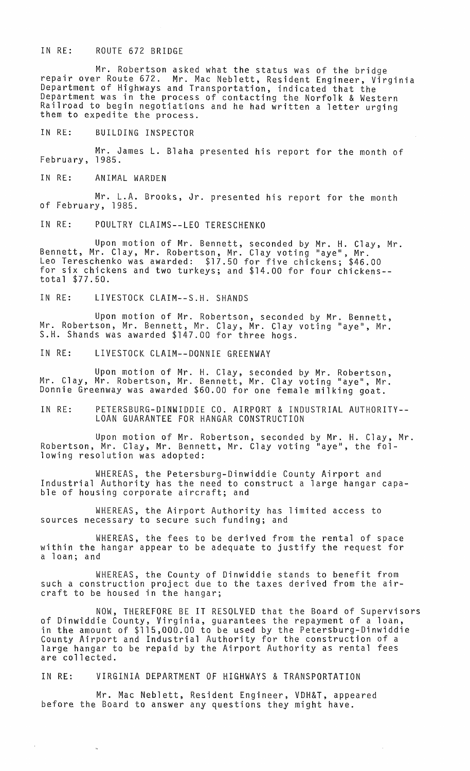## IN RE: ROUTE 672 BRIDGE

Mr. Robertson asked what the status was of the bridge repair over Route 672. Mr. Mac Neblett, Resident Engineer, Virginia Department of Highways and Transportation, indicated that the Department was in the process of contacting the Norfolk & Western Railroad to begin negotiations and he had written a letter urging<br>them to expedite the process.

## IN RE: BUILDING INSPECTOR

Mr. James L. Blaha presented his report for the month of February, 1985.

IN RE: ANIMAL WARDEN

Mr. L.A. Brooks, Jr. presented his report for the month of February, 1985.

IN RE: POULTRY CLAIMS--LEO TERESCHENKO

Upon motion of Mr. Bennett, seconded by Mr. H. Clay, Mr. Bennett, Mr. Clay, Mr. Robertson, Mr. Clay voting "aye", Mr. Leo Tereschenko was awarded: \$17.50 for five chickens; \$46.00 for six chickens and two turkeys; and \$14.00 for four chickens- total \$77.50.

IN RE: LIVESTOCK CLAIM--S.H. SHANDS

Upon motion of Mr. Robertson, seconded by Mr. Bennett, Mr. Robertson, Mr. Bennett, Mr. Clay, Mr. Clay voting "aye", Mr. S.H. Shands was awarded \$147.00 for three hogs.

IN RE: LIVESTOCK CLAIM--DONNIE GREENWAY

Upon motion of Mr. H. Clay, seconded by Mr. Robertson, Mr. Clay, Mr. Robertson, Mr. Bennett, Mr. Clay voting "aye", Mr. Donnie Greenway was awarded \$60.00 for one female milking goat.

IN RE: PETERSBURG-DINWIDDIE CO. AIRPORT & INDUSTRIAL AUTHORITY-- LOAN GUARANTEE FOR HANGAR CONSTRUCTION

Upon motion of Mr. Robertson, seconded by Mr. H. Clay, Mr. Robertson, Mr. Clay, Mr. Bennett, Mr. Clay voting "aye", the following resolution was adopted:

WHEREAS, the Petersburg-Dinwiddie County Airport and Industrial Authority has the need to construct a large hangar capa-<br>ble of housing corporate aircraft; and

WHEREAS, the Airport Authority has limited access to sources necessary to secure such funding; and

WHEREAS, the fees to be derived from the rental of space within the hangar appear to be adequate to justify the request for a loan; and

WHEREAS, the County of Dinwiddie stands to benefit from such a construction project due to the taxes derived from the aircraft to be housed in the hangar;

NOW, THEREFORE BE IT RESOLVED that the Board of Supervisors of Dinwiddie County, Virginia, guarantees the repayment of a loan, in the amount of \$115,000.00 to be used by the Petersburg-Dinwiddie County Airport and Industrial Authority for the construction of a large hangar to be repaid by the Airport Authority as rental fees are collected.

IN RE: VIRGINIA DEPARTMENT OF HIGHWAYS & TRANSPORTATION

Mr. Mac Neblett, Resident Engineer, VDH&T, appeared before the Board to answer any questions they might have.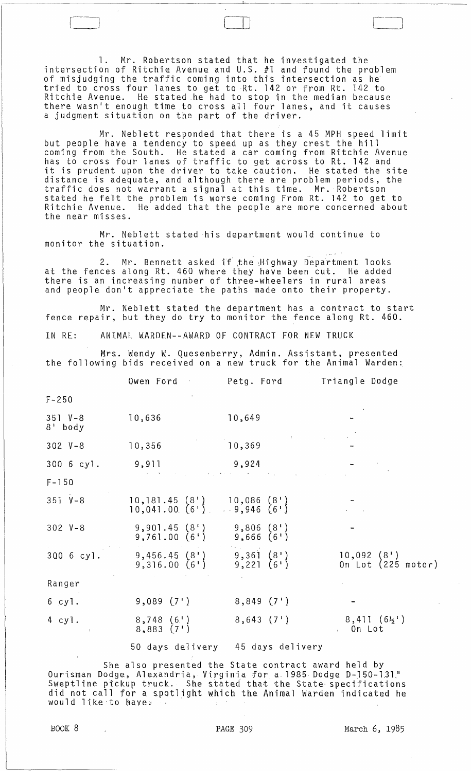1. Mr. Robertson stated that he investigated the intersection of Ritchie Avenue and U.S. #1 and found the problem of misjudging the traffic coming into this intersection as he tried to cross four lanes to get to -Rt. 142 or from Rt. 142 to Ritchie Avenue. He stated he had to stop in the median because there wasn't enough time to cross all four lanes, and it causes a judgment situation on the part of the driver.

II )

Mr. Neblett responded that there is a 45 MPH speed limit but people have a tendency to speed up as they crest the hill coming from the South. He stated a car coming from Ritchie Avenue has to cross four lanes of traffic to get across to Rt. 142 and it is prudent upon the driver to take caution. He stated the site distance is adequate, and although there are problem periods, the traffic does not warrant a signal at this time. Mr. Robertson stated he felt the problem is worse coming From Rt. 142 to get to Ritchie Avenue. He added that the people are more concerned about the near misses.

Mr. Neblett stated his department would continue to monitor the situation.

2. Mr. Bennett asked if the Highway Department looks at the fences along Rt. 460 where they have been cut. He added there is an increasing number of three-wheelers in rural areas and people don't appreciate the paths made onto their property.

Mr. Neblett stated the department has a contract to start fence repair, but they do try to monitor the fence along Rt. 460.

IN RE: ANIMAL WARDEN--AWARD Of CONTRACT FOR NEW TRUCK

Mrs. Wendy W. Quesenberry, Admin. Assistant, presented the following bids received on a new truck for the Animal Warden:

|                        | Owen Ford                                            | Petg. Ford                        | Triangle Dodge                        |
|------------------------|------------------------------------------------------|-----------------------------------|---------------------------------------|
| $F - 250$              |                                                      |                                   |                                       |
| $351 V - 8$<br>8' body | 10,636                                               | 10,649                            |                                       |
| $302 V - 8$            | 10,356                                               | 10,369                            |                                       |
| 300 6 cyl.             | 9,911                                                | 9,924                             |                                       |
| $F - 150$              |                                                      | <b>Contract State</b>             |                                       |
| $351 V - 8$            | $10, 181.45 (8)$ $10, 086 (8)$<br>$10,041.00(6^{+})$ | 9,946(6)                          |                                       |
| $302 V - 8$            | 9,901.45(8')<br>9,761.00(6!)                         | 9,806(8)<br>9,666(6!)             |                                       |
| 300 6 cyl.             | $9,456.45(8^{\circ})$<br>9,316.00(6')                | 9,361(8)<br>9,221(6')             | $10,092$ $(8!)$<br>On Lot (225 motor) |
| Ranger                 |                                                      |                                   |                                       |
| 6 cyl.                 | $9,089$ $(7)$                                        | 8,849(7)                          |                                       |
| 4 cyl.                 | $8,748$ $(6)$<br>8,883(7)                            | 8,643(7)                          | $8,411(6\frac{1}{2})$<br>. On Lot     |
|                        |                                                      | 50 days delivery 45 days delivery |                                       |

She also presented the State contract award held by She also presented the State contract award held by<br>"Ourisman Dodge, Alexandria, Virginia for a 1985 Dodge D-150-131 Sweptline pickup truck. She stated that the State specifications did not call for a spotlight which the Animal Warden indicated he would like to have.

BOOK 8 PAGE 309 March 6, 1985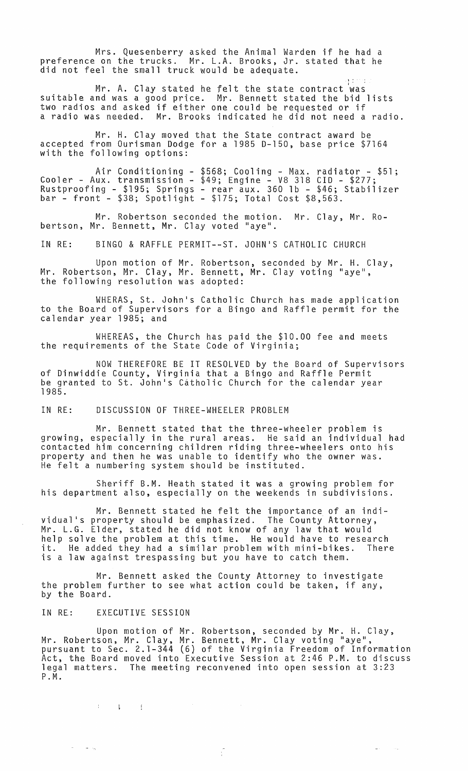Mrs. Quesenberry asked the Animal Warden if he had a preference on the trucks. Mr. L.A. Brooks, Jr. stated that he did not feel the small truck would be adequate.

Mr. A. Clay stated he felt the state contract 'was suitable and was a good price. Mr. Bennett stated the bid lists two radios and asked if either one could be requested or if a radio was needed. Mr. Brooks indicated he did not need a radio.

Mr. H. Clay moved that the State contract award be accepted from Ourisman Dodge for a 1985 0-150, base price \$7164 with the following options:

Air Conditioning - \$568; Cooling - Max. radiator - \$51; Cooler - Aux. transmission - \$49; Engine - V8 318 CID - \$277; Rustproofing - \$195; Springs - rear aux. 360 lb - \$46; Stabilizer bar - front - \$38; Spotlight - \$175; Total Cost \$8,563.

Mr. Robertson seconded the motion. Mr. Clay, Mr. Robertson, Mr. Bennett, Mr. Clay voted "aye".

IN RE: BINGO & RAFFLE PERMIT--ST. JOHNIS CATHOLIC CHURCH

Upon motion of Mr. Robertson, seconded by Mr. H. Clay, Mr. Robertson, Mr. Clay, Mr. Bennett, Mr. Clay voting "aye", the following resolution was adopted:

WHERAS, St. Johnls Catholic Church has made application to the Board of Supervisors for a Bingo and Raffle permit for the calendar year 1985; and

WHEREAS, the Church has paid the \$10.00 fee and meets the requirements of the State Code of Virginia;

NOW THEREFORE BE IT RESOLVED by the Board of Supervisors of Dinwiddie County, Virginia that a Bingo and Raffle Permit be granted to St. John's Catholic Church for the calendar year 1985.

IN RE: DISCUSSION OF THREE-WHEELER PROBLEM

Mr. Bennett stated that the three-wheeler problem is growing, especially in the rural areas. He said an individual had contacted him concerning children riding three-wheelers onto his property and then he was unable to identify who the owner was. He felt a numbering system should be instituted.

Sheriff B.M. Heath stated it was a growing problem for his department also, especially on the weekends in subdivisions.

Mr. Bennett stated he felt the importance of an individual's property should be emphasized. The County Attorney, Mr. L.G. Elder, stated he did not know of any law that would help solve the problem at this time. He would have to research<br>it. He added they had a similar problem with mini-bikes. There it. He added they had a similar problem with mini-bikes. There is a law against trespassing but you have to catch them.

Mr. Bennett asked the County Attorney to investigate the problem further to see what action could be taken, if any, by the Board.

IN RE: EXECUTIVE SESSION

 $\begin{array}{cccccccccc} 1 & \cdots & 1 & \cdots & 1 \end{array}$ 

 $\sigma_{\rm{max}}$  and  $\sigma_{\rm{max}}$ 

Upon motion of Mr. Robertson, seconded by Mr. H. Clay, Mr. Robertson, Mr. Clay, Mr. Bennett, Mr. Clay voting "aye", pursuant to Sec. 2.1-344 (6) of the Virginia Freedom of Information Act, the Board moved into Executive Session at 2:46 P.M. to discuss legal matters. The meeting reconvened into open session at 3:23 P.M.

 $\frac{\partial}{\partial t}$ 

 $\sim$  .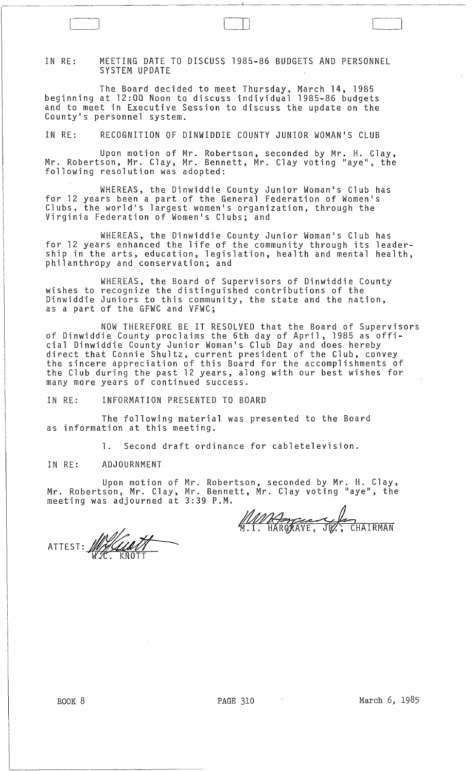IN RE: MEETING DATE TO DISCUSS 1985-86 BUDGETS AND PERSONNEL SYSTEM UPDATE

The Board decided to meet Thursday. March 14, 1985 beginning at 12:00 Noon.to discuss individual 1985~86 budgets and to meet in Executive Session to discuss the update on the Countyls personnel system.

IN RE: RECOGNITION OF DINWIDDIE COUNTY JUNIOR WOMAN1S CLUB

Upon motion of Mr. Robertson, seconded by Mr. H. Clay, Mr. Robertson, Mr. Clay, Mr. Bennett, Mr. Clay voting "aye", the following resolution was adopted:

WHEREAS, the Dinwiddie County Junior Woman1s Club has for 12 years been a part of the General Federation of Women's Clubs, the world's largest women's organization, through the Virginia Federation of Women's Clubs; and

WHEREAS, the Dinwiddie County Junior Woman's Club has for 12 years enhanced the life of the community through its leadership in the arts, education, legislation, health and mental health, philanthropy and conservation; and

WHEREAS, the Board of Supervisors of Dinwiddie County<br>wishes to recognize the distinguished contributions of the Dinwiddie Juniors to this community, the state and the nation, as a part of the GFWC and VFWC;

NOW THEREFORE BE IT RESOLVED that the Board of Supervisors of Dinwiddie County proclaims the 6th day of April, 1985 as official Dinwiddie County Junior Woman1s Club Day and does hereby direct that Connie Shultz, current president of the Club, convey the sincere appreciation of this Board for the accomplishments of the Club during the past 12 years, along with our best wishes for many more years of continued success.

IN RE: INFORMATION PRESENTED TO BOARD

The following material was presented to the Board as information at this meeting.

**1.** Second draft ordinance for cabletelevision.

IN RE: ADJOURNMENT

 $\begin{array}{|c|} \hline \hline \hline \hline \hline \hline \hline \hline \hline \end{array}$ 

Upon motion of Mr. Robertson, seconded by Mr. H. Clay, Mr. Robertson, Mr. Clay, Mr. Bennett, Mr. Clay voting "aye", the meeting was adjourned at 3:39 P.M.

<u>MMA Jorgean</u> CHAIRMAN

ATTEST: WALLANT